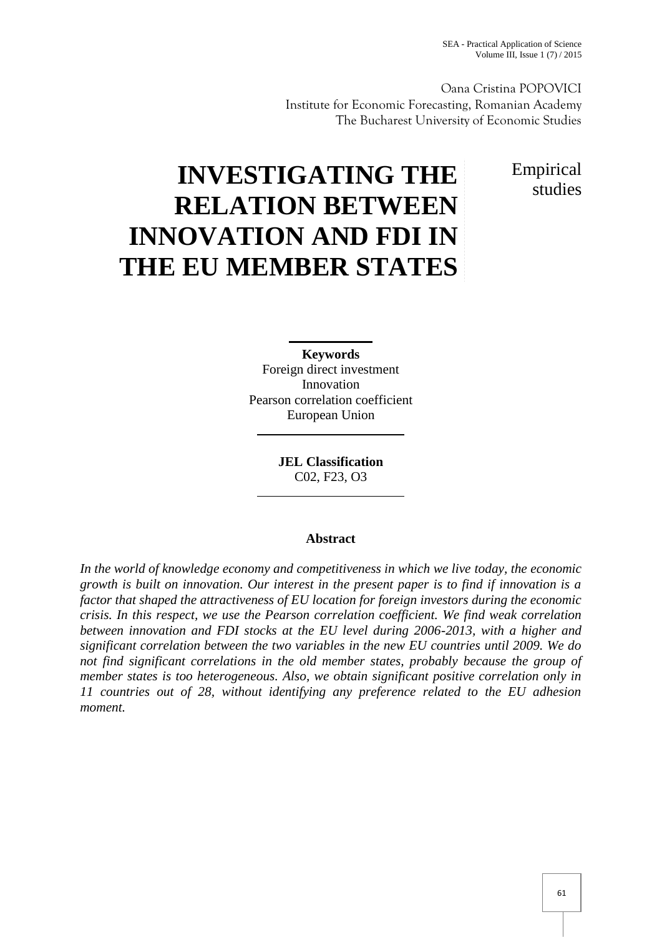Oana Cristina POPOVICI Institute for Economic Forecasting, Romanian Academy The Bucharest University of Economic Studies

> Empirical studies

# **INVESTIGATING THE RELATION BETWEEN INNOVATION AND FDI IN THE EU MEMBER STATES**

**Keywords** Foreign direct investment Innovation Pearson correlation coefficient European Union

> **JEL Classification** C02, F23, O3

# **Abstract**

*In the world of knowledge economy and competitiveness in which we live today, the economic growth is built on innovation. Our interest in the present paper is to find if innovation is a factor that shaped the attractiveness of EU location for foreign investors during the economic crisis. In this respect, we use the Pearson correlation coefficient. We find weak correlation between innovation and FDI stocks at the EU level during 2006-2013, with a higher and significant correlation between the two variables in the new EU countries until 2009. We do not find significant correlations in the old member states, probably because the group of member states is too heterogeneous. Also, we obtain significant positive correlation only in 11 countries out of 28, without identifying any preference related to the EU adhesion moment.*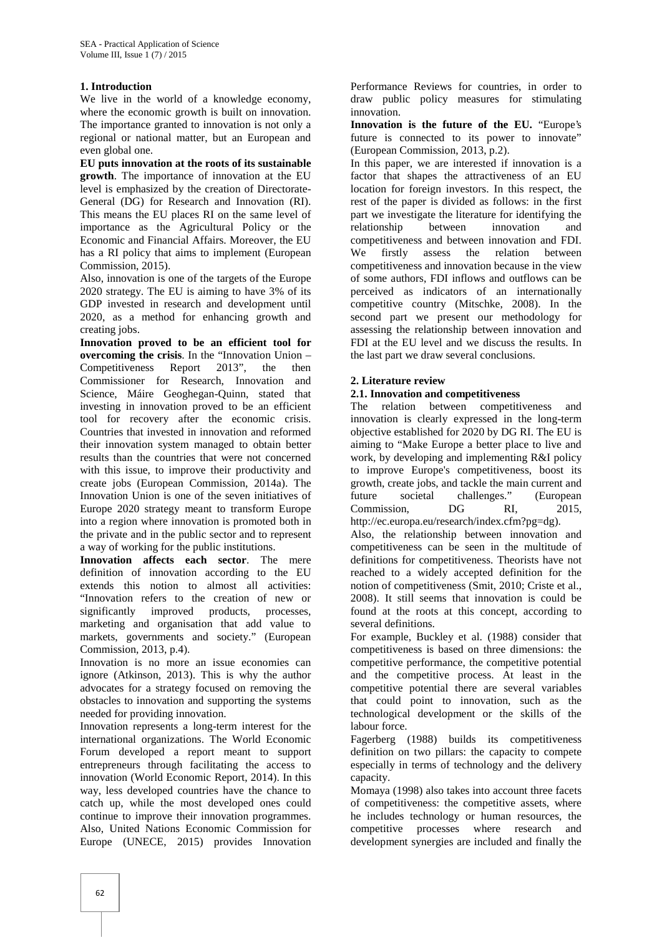#### **1. Introduction**

We live in the world of a knowledge economy, where the economic growth is built on innovation. The importance granted to innovation is not only a regional or national matter, but an European and even global one.

**EU puts innovation at the roots of its sustainable growth**. The importance of innovation at the EU level is emphasized by the creation of Directorate- General (DG) for Research and Innovation (RI). This means the EU places RI on the same level of importance as the Agricultural Policy or the Economic and Financial Affairs. Moreover, the EU has a RI policy that aims to implement (European We Commission, 2015).

Also, innovation is one of the targets of the Europe 2020 strategy. The EU is aiming to have 3% of its GDP invested in research and development until 2020, as a method for enhancing growth and creating jobs.

**Innovation proved to be an efficient tool for overcoming the crisis**. In the "Innovation Union – Competitiveness Report 2013", the then Commissioner for Research, Innovation and Science, Máire Geoghegan-Quinn, stated that investing in innovation proved to be an efficient tool for recovery after the economic crisis. Countries that invested in innovation and reformed their innovation system managed to obtain better results than the countries that were not concerned with this issue, to improve their productivity and create jobs (European Commission, 2014a). The Innovation Union is one of the seven initiatives of Europe 2020 strategy meant to transform Europe into a region where innovation is promoted both in the private and in the public sector and to represent a way of working for the public institutions.

**Innovation affects each sector**. The mere definition of innovation according to the EU extends this notion to almost all activities: "Innovation refers to the creation of new or significantly improved products, processes, marketing and organisation that add value to markets, governments and society." (European Commission, 2013, p.4).

Innovation is no more an issue economies can ignore (Atkinson, 2013). This is why the author advocates for a strategy focused on removing the obstacles to innovation and supporting the systems needed for providing innovation.

Innovation represents a long-term interest for the international organizations. The World Economic Forum developed a report meant to support entrepreneurs through facilitating the access to innovation (World Economic Report, 2014). In this way, less developed countries have the chance to catch up, while the most developed ones could continue to improve their innovation programmes. Also, United Nations Economic Commission for Europe (UNECE, 2015) provides Innovation

Performance Reviews for countries, in order to draw public policy measures for stimulating innovation.

**Innovation is the future of the EU.** "Europe's future is connected to its power to innovate" (European Commission, 2013, p.2).

In this paper, we are interested if innovation is a factor that shapes the attractiveness of an EU location for foreign investors. In this respect, the rest of the paper is divided as follows: in the first part we investigate the literature for identifying the relationship between innovation and competitiveness and between innovation and FDI. firstly assess the relation between competitiveness and innovation because in the view of some authors, FDI inflows and outflows can be perceived as indicators of an internationally competitive country (Mitschke, 2008). In the second part we present our methodology for assessing the relationship between innovation and FDI at the EU level and we discuss the results. In the last part we draw several conclusions.

## **2. Literature review**

## **2.1. Innovation and competitiveness**

The relation between competitiveness and innovation is clearly expressed in the long-term objective established for 2020 by DG RI. The EU is aiming to "Make Europe a better place to live and work, by developing and implementing R&I policy to improve Europe's competitiveness, boost its growth, create jobs, and tackle the main current and future societal challenges." (European Commission, DG RI, 2015, http://ec.europa.eu/research/index.cfm?pg=dg).

Also, the relationship between innovation and competitiveness can be seen in the multitude of definitions for competitiveness. Theorists have not reached to a widely accepted definition for the notion of competitiveness (Smit, 2010; Criste et al., 2008). It still seems that innovation is could be found at the roots at this concept, according to several definitions.

For example, Buckley et al. (1988) consider that competitiveness is based on three dimensions: the competitive performance, the competitive potential and the competitive process. At least in the competitive potential there are several variables that could point to innovation, such as the technological development or the skills of the labour force.

Fagerberg (1988) builds its competitiveness definition on two pillars: the capacity to compete especially in terms of technology and the delivery capacity.

Momaya (1998) also takes into account three facets of competitiveness: the competitive assets, where he includes technology or human resources, the competitive processes where research and development synergies are included and finally the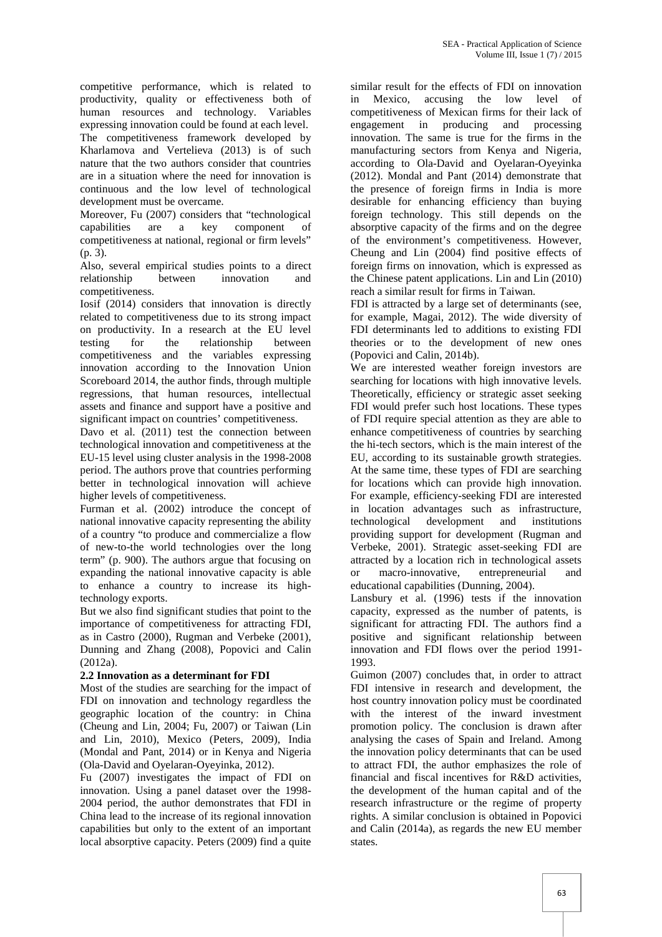competitive performance, which is related to productivity, quality or effectiveness both of human resources and technology. Variables expressing innovation could be found at each level. The competitiveness framework developed by Kharlamova and Vertelieva (2013) is of such nature that the two authors consider that countries are in a situation where the need for innovation is continuous and the low level of technological development must be overcame.

Moreover, Fu (2007) considers that "technological capabilities are a key component of competitiveness at national, regional or firm levels" (p. 3).

Also, several empirical studies points to a direct relationship between innovation and competitiveness.

Iosif (2014) considers that innovation is directly related to competitiveness due to its strong impact on productivity. In a research at the EU level testing for the relationship between competitiveness and the variables expressing innovation according to the Innovation Union Scoreboard 2014, the author finds, through multiple regressions, that human resources, intellectual assets and finance and support have a positive and significant impact on countries' competitiveness.

Davo et al. (2011) test the connection between technological innovation and competitiveness at the EU-15 level using cluster analysis in the 1998-2008 period. The authors prove that countries performing better in technological innovation will achieve higher levels of competitiveness.

Furman et al. (2002) introduce the concept of national innovative capacity representing the ability of a country "to produce and commercialize a flow of new-to-the world technologies over the long term" (p. 900). The authors argue that focusing on expanding the national innovative capacity is able to enhance a country to increase its hightechnology exports.

But we also find significant studies that point to the importance of competitiveness for attracting FDI, as in Castro (2000), Rugman and Verbeke (2001), Dunning and Zhang (2008), Popovici and Calin (2012a).

#### **2.2 Innovation as a determinant for FDI**

Most of the studies are searching for the impact of FDI on innovation and technology regardless the geographic location of the country: in China (Cheung and Lin, 2004; Fu, 2007) or Taiwan (Lin and Lin, 2010), Mexico (Peters, 2009), India (Mondal and Pant, 2014) or in Kenya and Nigeria (Ola-David and Oyelaran-Oyeyinka, 2012).

Fu (2007) investigates the impact of FDI on innovation. Using a panel dataset over the 1998- 2004 period, the author demonstrates that FDI in China lead to the increase of its regional innovation capabilities but only to the extent of an important local absorptive capacity. Peters (2009) find a quite

similar result for the effects of FDI on innovation in Mexico, accusing the low level of competitiveness of Mexican firms for their lack of engagement in producing and processing innovation. The same is true for the firms in the manufacturing sectors from Kenya and Nigeria, according to Ola-David and Oyelaran-Oyeyinka (2012). Mondal and Pant (2014) demonstrate that the presence of foreign firms in India is more desirable for enhancing efficiency than buying foreign technology. This still depends on the absorptive capacity of the firms and on the degree of the environment's competitiveness. However, Cheung and Lin (2004) find positive effects of foreign firms on innovation, which is expressed as the Chinese patent applications. Lin and Lin (2010) reach a similar result for firms in Taiwan.

FDI is attracted by a large set of determinants (see, for example, Magai, 2012). The wide diversity of FDI determinants led to additions to existing FDI theories or to the development of new ones (Popovici and Calin, 2014b).

We are interested weather foreign investors are searching for locations with high innovative levels. Theoretically, efficiency or strategic asset seeking FDI would prefer such host locations. These types of FDI require special attention as they are able to enhance competitiveness of countries by searching the hi-tech sectors, which is the main interest of the EU, according to its sustainable growth strategies. At the same time, these types of FDI are searching for locations which can provide high innovation. For example, efficiency-seeking FDI are interested in location advantages such as infrastructure, technological development and institutions providing support for development (Rugman and Verbeke, 2001). Strategic asset-seeking FDI are attracted by a location rich in technological assets or macro-innovative, entrepreneurial and educational capabilities (Dunning, 2004).

Lansbury et al. (1996) tests if the innovation capacity, expressed as the number of patents, is significant for attracting FDI. The authors find a positive and significant relationship between innovation and FDI flows over the period 1991- 1993.

Guimon (2007) concludes that, in order to attract FDI intensive in research and development, the host country innovation policy must be coordinated with the interest of the inward investment promotion policy. The conclusion is drawn after analysing the cases of Spain and Ireland. Among the innovation policy determinants that can be used to attract FDI, the author emphasizes the role of financial and fiscal incentives for R&D activities, the development of the human capital and of the research infrastructure or the regime of property rights. A similar conclusion is obtained in Popovici and Calin (2014a), as regards the new EU member states.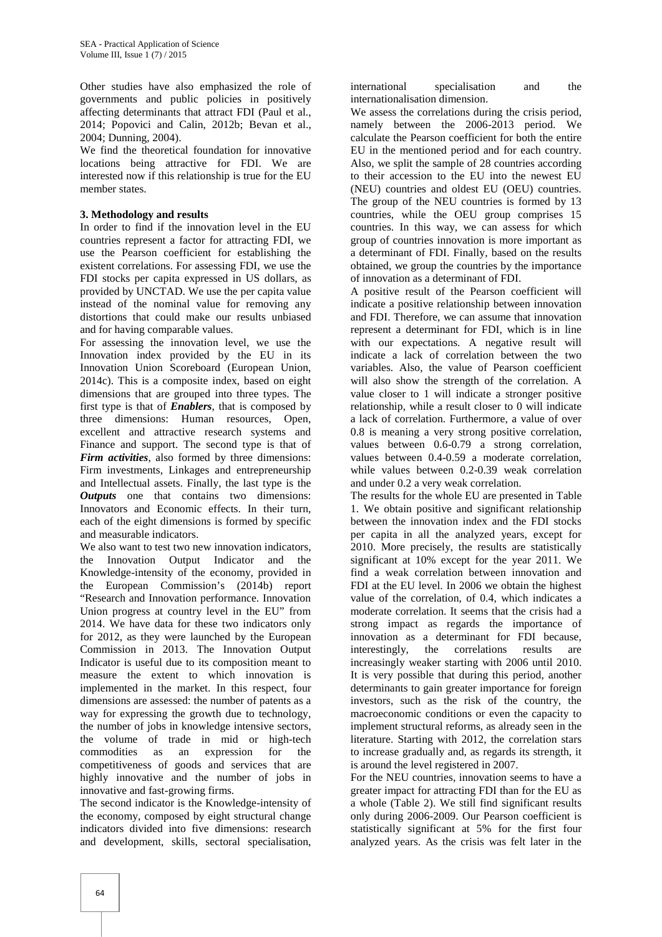Other studies have also emphasized the role of governments and public policies in positively affecting determinants that attract FDI (Paul et al., 2014; Popovici and Calin, 2012b; Bevan et al., 2004; Dunning, 2004).

We find the theoretical foundation for innovative locations being attractive for FDI. We are interested now if this relationship is true for the EU member states.

#### **3. Methodology and results**

In order to find if the innovation level in the EU countries represent a factor for attracting FDI, we use the Pearson coefficient for establishing the existent correlations. For assessing FDI, we use the FDI stocks per capita expressed in US dollars, as provided by UNCTAD. We use the per capita value instead of the nominal value for removing any distortions that could make our results unbiased and for having comparable values.

For assessing the innovation level, we use the Innovation index provided by the EU in its Innovation Union Scoreboard (European Union, 2014c). This is a composite index, based on eight dimensions that are grouped into three types. The first type is that of *Enablers*, that is composed by three dimensions: Human resources, Open, excellent and attractive research systems and Finance and support. The second type is that of *Firm activities*, also formed by three dimensions: Firm investments, Linkages and entrepreneurship and Intellectual assets. Finally, the last type is the *Outputs* one that contains two dimensions: Innovators and Economic effects. In their turn, each of the eight dimensions is formed by specific and measurable indicators.

We also want to test two new innovation indicators. the Innovation Output Indicator and the Knowledge-intensity of the economy, provided in the European Commission's (2014b) report "Research and Innovation performance. Innovation Union progress at country level in the EU" from 2014. We have data for these two indicators only for 2012, as they were launched by the European Commission in 2013. The Innovation Output Indicator is useful due to its composition meant to measure the extent to which innovation is implemented in the market. In this respect, four dimensions are assessed: the number of patents as a way for expressing the growth due to technology, the number of jobs in knowledge intensive sectors, the volume of trade in mid or high-tech commodities as an expression for the competitiveness of goods and services that are highly innovative and the number of jobs in innovative and fast-growing firms.

The second indicator is the Knowledge-intensity of the economy, composed by eight structural change indicators divided into five dimensions: research and development, skills, sectoral specialisation,

international specialisation and the internationalisation dimension.

We assess the correlations during the crisis period, namely between the 2006-2013 period. We calculate the Pearson coefficient for both the entire EU in the mentioned period and for each country. Also, we split the sample of 28 countries according to their accession to the EU into the newest EU (NEU) countries and oldest EU (OEU) countries. The group of the NEU countries is formed by 13 countries, while the OEU group comprises 15 countries. In this way, we can assess for which group of countries innovation is more important as a determinant of FDI. Finally, based on the results obtained, we group the countries by the importance of innovation as a determinant of FDI.

A positive result of the Pearson coefficient will indicate a positive relationship between innovation and FDI. Therefore, we can assume that innovation represent a determinant for FDI, which is in line with our expectations. A negative result will indicate a lack of correlation between the two variables. Also, the value of Pearson coefficient will also show the strength of the correlation. A value closer to 1 will indicate a stronger positive relationship, while a result closer to 0 will indicate a lack of correlation. Furthermore, a value of over 0.8 is meaning a very strong positive correlation, values between 0.6-0.79 a strong correlation, values between 0.4-0.59 a moderate correlation, while values between 0.2-0.39 weak correlation and under 0.2 a very weak correlation.

The results for the whole EU are presented in Table 1. We obtain positive and significant relationship between the innovation index and the FDI stocks per capita in all the analyzed years, except for 2010. More precisely, the results are statistically significant at 10% except for the year 2011. We find a weak correlation between innovation and FDI at the EU level. In 2006 we obtain the highest value of the correlation, of 0.4, which indicates a moderate correlation. It seems that the crisis had a strong impact as regards the importance of innovation as a determinant for FDI because, interestingly, the correlations results are increasingly weaker starting with 2006 until 2010. It is very possible that during this period, another determinants to gain greater importance for foreign investors, such as the risk of the country, the macroeconomic conditions or even the capacity to implement structural reforms, as already seen in the literature. Starting with 2012, the correlation stars to increase gradually and, as regards its strength, it is around the level registered in 2007.

For the NEU countries, innovation seems to have a greater impact for attracting FDI than for the EU as a whole (Table 2). We still find significant results only during 2006-2009. Our Pearson coefficient is statistically significant at 5% for the first four analyzed years. As the crisis was felt later in the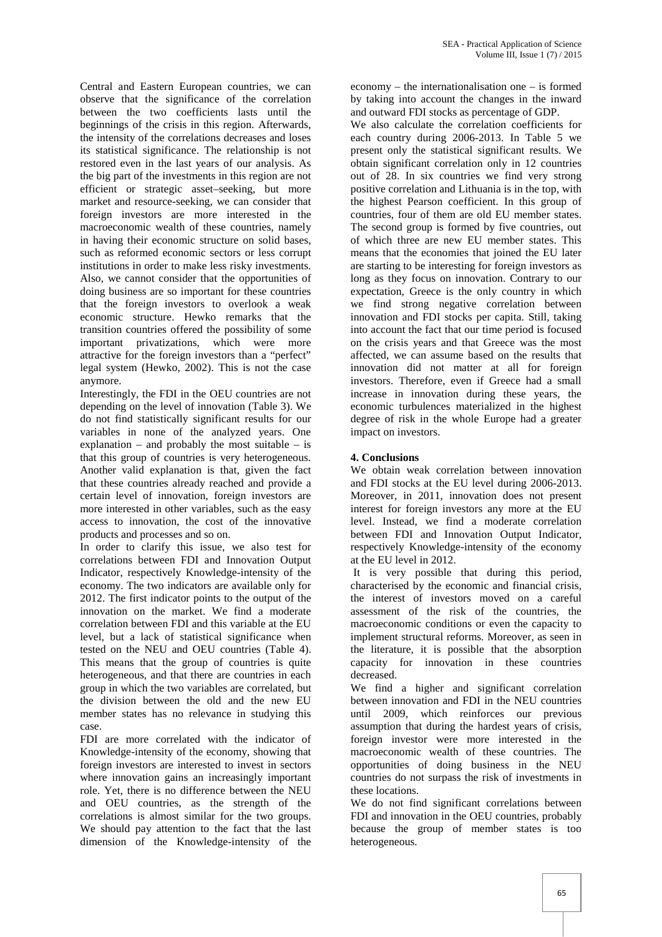Central and Eastern European countries, we can observe that the significance of the correlation between the two coefficients lasts until the beginnings of the crisis in this region. Afterwards, the intensity of the correlations decreases and loses its statistical significance. The relationship is not restored even in the last years of our analysis. As the big part of the investments in this region are not efficient or strategic asset–seeking, but more market and resource-seeking, we can consider that foreign investors are more interested in the macroeconomic wealth of these countries, namely in having their economic structure on solid bases, such as reformed economic sectors or less corrupt institutions in order to make less risky investments. Also, we cannot consider that the opportunities of doing business are so important for these countries that the foreign investors to overlook a weak economic structure. Hewko remarks that the transition countries offered the possibility of some important privatizations, which were more attractive for the foreign investors than a "perfect" legal system (Hewko, 2002). This is not the case anymore.

Interestingly, the FDI in the OEU countries are not depending on the level of innovation (Table 3). We do not find statistically significant results for our variables in none of the analyzed years. One explanation – and probably the most suitable – is that this group of countries is very heterogeneous. Another valid explanation is that, given the fact that these countries already reached and provide a certain level of innovation, foreign investors are more interested in other variables, such as the easy access to innovation, the cost of the innovative products and processes and so on.

In order to clarify this issue, we also test for correlations between FDI and Innovation Output Indicator, respectively Knowledge-intensity of the economy. The two indicators are available only for 2012. The first indicator points to the output of the innovation on the market. We find a moderate correlation between FDI and this variable at the EU level, but a lack of statistical significance when tested on the NEU and OEU countries (Table 4). This means that the group of countries is quite heterogeneous, and that there are countries in each group in which the two variables are correlated, but the division between the old and the new EU member states has no relevance in studying this case.

FDI are more correlated with the indicator of Knowledge-intensity of the economy, showing that foreign investors are interested to invest in sectors where innovation gains an increasingly important role. Yet, there is no difference between the NEU and OEU countries, as the strength of the correlations is almost similar for the two groups. We should pay attention to the fact that the last dimension of the Knowledge-intensity of the

economy – the internationalisation one – is formed by taking into account the changes in the inward and outward FDI stocks as percentage of GDP.

We also calculate the correlation coefficients for each country during 2006-2013. In Table 5 we present only the statistical significant results. We obtain significant correlation only in 12 countries out of 28. In six countries we find very strong positive correlation and Lithuania is in the top, with the highest Pearson coefficient. In this group of countries, four of them are old EU member states. The second group is formed by five countries, out of which three are new EU member states. This means that the economies that joined the EU later are starting to be interesting for foreign investors as long as they focus on innovation. Contrary to our expectation, Greece is the only country in which we find strong negative correlation between innovation and FDI stocks per capita. Still, taking into account the fact that our time period is focused on the crisis years and that Greece was the most affected, we can assume based on the results that innovation did not matter at all for foreign investors. Therefore, even if Greece had a small increase in innovation during these years, the economic turbulences materialized in the highest degree of risk in the whole Europe had a greater impact on investors.

# **4. Conclusions**

We obtain weak correlation between innovation and FDI stocks at the EU level during 2006-2013. Moreover, in 2011, innovation does not present interest for foreign investors any more at the EU level. Instead, we find a moderate correlation between FDI and Innovation Output Indicator, respectively Knowledge-intensity of the economy at the EU level in 2012.

It is very possible that during this period, characterised by the economic and financial crisis, the interest of investors moved on a careful assessment of the risk of the countries, the macroeconomic conditions or even the capacity to implement structural reforms. Moreover, as seen in the literature, it is possible that the absorption capacity for innovation in these countries decreased.

We find a higher and significant correlation between innovation and FDI in the NEU countries until 2009, which reinforces our previous assumption that during the hardest years of crisis, foreign investor were more interested in the macroeconomic wealth of these countries. The opportunities of doing business in the NEU countries do not surpass the risk of investments in these locations.

We do not find significant correlations between FDI and innovation in the OEU countries, probably because the group of member states is too heterogeneous.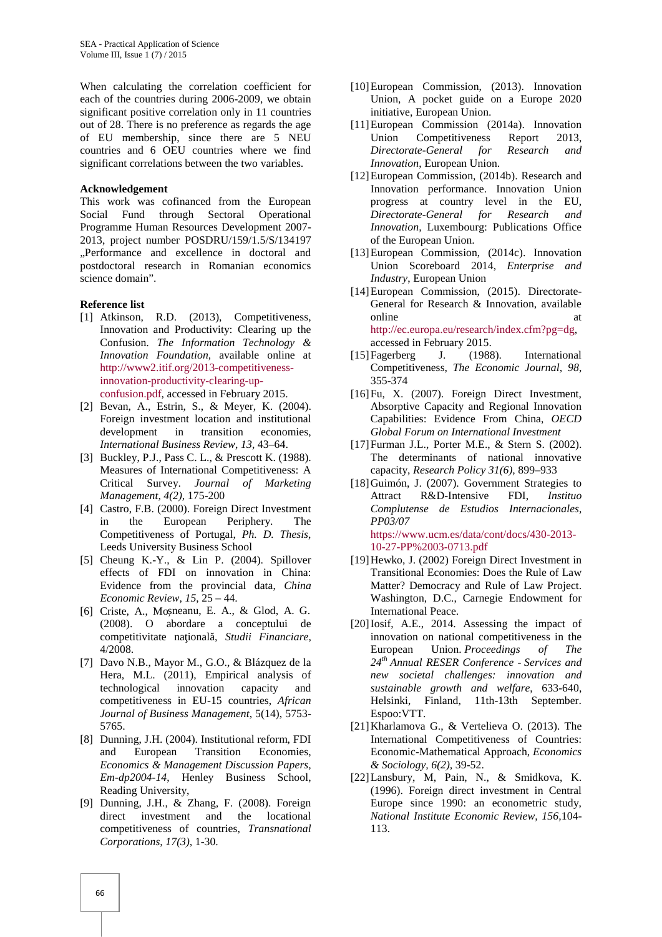When calculating the correlation coefficient for each of the countries during 2006-2009, we obtain significant positive correlation only in 11 countries out of 28. There is no preference as regards the age of EU membership, since there are 5 NEU countries and 6 OEU countries where we find significant correlations between the two variables.

#### **Acknowledgement**

This work was cofinanced from the European Social Fund through Sectoral Operational Programme Human Resources Development 2007- 2013, project number POSDRU/159/1.5/S/134197 ..Performance and excellence in doctoral and postdoctoral research in Romanian economics science domain".

#### **Reference list**

- [1] Atkinson, R.D. (2013), Competitiveness, Innovation and Productivity: Clearing up the Confusion. *The Information Technology & Innovation Foundation*, available online at http://www2.itif.org/2013-competitivenessinnovation-productivity-clearing-up confusion.pdf, accessed in February 2015.
- [2] Bevan, A., Estrin, S., & Meyer, K. (2004). Foreign investment location and institutional development in transition economies, *International Business Review*, *13*, 43–64.
- [3] Buckley, P.J., Pass C. L., & Prescott K. (1988). Measures of International Competitiveness: A Critical Survey. *Journal of Marketing Management*, *4(2),* 175-200
- [4] Castro, F.B. (2000). Foreign Direct Investment in the European Periphery. The Competitiveness of Portugal, *Ph. D. Thesis*, Leeds University Business School
- [5] Cheung K.-Y., & Lin P. (2004). Spillover effects of FDI on innovation in China: Evidence from the provincial data, *China Economic Review*, *15*, 25 – 44.
- [6] Criste, A., Mo neanu, E. A., & Glod, A. G. (2008). O abordare a conceptului de competitivitate na ional, *Studii Financiare*, 4/2008.
- [7] Davo N.B., Mayor M., G.O., & Blázquez de la Hera, M.L. (2011), Empirical analysis of technological innovation capacity and competitiveness in EU-15 countries, *African Journal of Business Management*, 5(14), 5753- 5765.
- [8] Dunning, J.H. (2004). Institutional reform, FDI and European Transition Economies, *Economics & Management Discussion Papers, Em-dp2004-14*, Henley Business School, Reading University,
- [9] Dunning, J.H., & Zhang, F. (2008). Foreign direct investment and the locational competitiveness of countries, *Transnational Corporations, 17(3),* 1-30.
- [10]European Commission, (2013). Innovation Union, A pocket guide on a Europe 2020 initiative, European Union.
- [11]European Commission (2014a). Innovation Competitiveness Report 2013. *Directorate-General for Research and Innovation*, European Union.
- [12]European Commission, (2014b). Research and Innovation performance. Innovation Union progress at country level in the EU, *Directorate-General for Research and Innovation,* Luxembourg: Publications Office of the European Union.
- [13]European Commission, (2014c). Innovation Union Scoreboard 2014, *Enterprise and Industry*, European Union
- [14] European Commission, (2015). Directorate-General for Research & Innovation, available online at a state of  $\alpha$  at a state of  $\alpha$  at a state of  $\alpha$  at a state of  $\alpha$  at a state of  $\alpha$  at a state of  $\alpha$  at a state of  $\alpha$  at a state of  $\alpha$  at a state of  $\alpha$  at a state of  $\alpha$  at a state of  $\alpha$  at a s http://ec.europa.eu/research/index.cfm?pg=dg, accessed in February 2015.
- [15]Fagerberg J. (1988). International Competitiveness, *The Economic Journal, 98*, 355-374
- [16] Fu, X. (2007). Foreign Direct Investment, Absorptive Capacity and Regional Innovation Capabilities: Evidence From China, *OECD Global Forum on International Investment*
- [17]Furman J.L., Porter M.E., & Stern S. (2002). The determinants of national innovative capacity, *Research Policy 31(6),* 899–933
- [18]Guimón, J. (2007). Government Strategies to Attract R&D-Intensive FDI, *Instituo Complutense de Estudios Internacionales, PP03/07* https://www.ucm.es/data/cont/docs/430-2013-

10-27-PP%2003-0713.pdf

- [19]Hewko, J. (2002) Foreign Direct Investment in Transitional Economies: Does the Rule of Law Matter? Democracy and Rule of Law Project. Washington, D.C., Carnegie Endowment for International Peace.
- [20]Iosif, A.E., 2014. Assessing the impact of innovation on national competitiveness in the European Union. *Proceedings of The 24th Annual RESER Conference - Services and new societal challenges: innovation and sustainable growth and welfare*, 633-640, Helsinki, Finland, 11th-13th September. Espoo:VTT.
- [21]Kharlamova G., & Vertelieva O. (2013). The International Competitiveness of Countries: Economic-Mathematical Approach, *Economics & Sociology, 6(2),* 39-52.
- [22]Lansbury, M, Pain, N., & Smidkova, K. (1996). Foreign direct investment in Central Europe since 1990: an econometric study, *National Institute Economic Review, 156,*104- 113.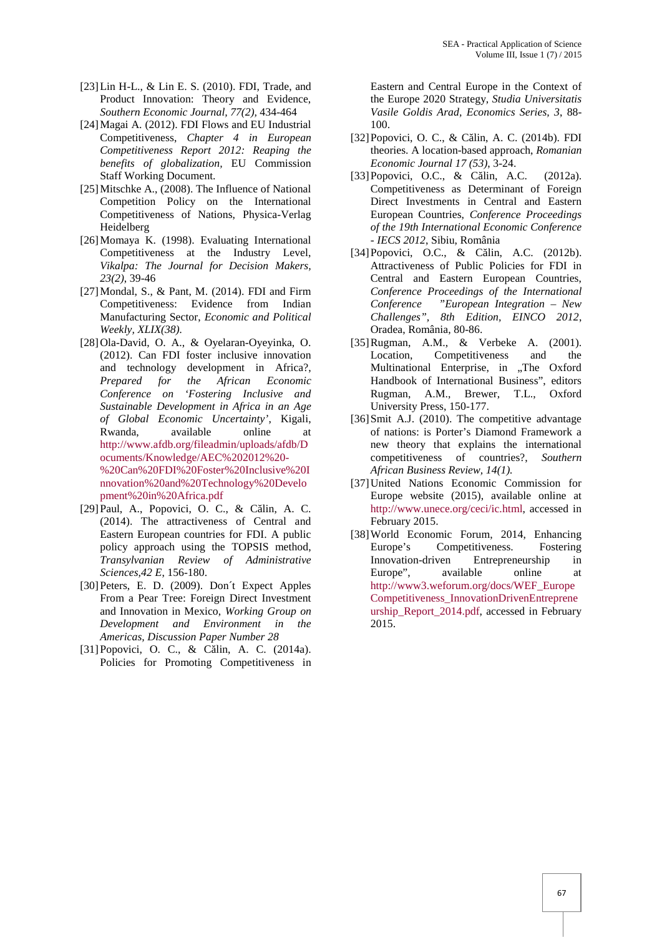- [23]Lin H-L., & Lin E. S. (2010). FDI, Trade, and Product Innovation: Theory and Evidence, *Southern Economic Journal, 77(2),* 434-464
- [24]Magai A. (2012). FDI Flows and EU Industrial Competitiveness, *Chapter 4 in European Competitiveness Report 2012: Reaping the benefits of globalization,* EU Commission Staff Working Document.
- [25]Mitschke A., (2008). The Influence of National Competition Policy on the International Competitiveness of Nations, Physica-Verlag Heidelberg
- [26]Momaya K. (1998). Evaluating International Competitiveness at the Industry Level, *Vikalpa: The Journal for Decision Makers, 23(2)*, 39-46
- [27]Mondal, S., & Pant, M. (2014). FDI and Firm Competitiveness: Evidence from Indian Manufacturing Sector, *Economic and Political Weekly, XLIX(38).*
- [28]Ola-David, O. A., & Oyelaran-Oyeyinka, O. (2012). Can FDI foster inclusive innovation and technology development in Africa?, *Prepared for the African Economic Conference on 'Fostering Inclusive and Sustainable Development in Africa in an Age of Global Economic Uncertainty'*, Kigali, Rwanda, available online at http://www.afdb.org/fileadmin/uploads/afdb/D ocuments/Knowledge/AEC%202012%20- %20Can%20FDI%20Foster%20Inclusive%20I nnovation%20and%20Technology%20Develo pment%20in%20Africa.pdf
- $[29]$ Paul, A., Popovici, O. C., & C lin, A. C. (2014). The attractiveness of Central and Eastern European countries for FDI. A public policy approach using the TOPSIS method, *Transylvanian Review of Administrative Sciences,42 E*, 156-180.
- [30]Peters, E. D. (2009). Don´t Expect Apples From a Pear Tree: Foreign Direct Investment and Innovation in Mexico, *Working Group on Development and Environment in the Americas, Discussion Paper Number 28*
- [31] Popovici, O. C., & C lin, A. C. (2014a). Policies for Promoting Competitiveness in

Eastern and Central Europe in the Context of the Europe 2020 Strategy, *Studia Universitatis Vasile Goldis Arad, Economics Series, 3*, 88- 100.

- [32] Popovici, O. C., & C lin, A. C. (2014b). FDI theories. A location-based approach, *Romanian Economic Journal 17 (53)*, 3-24.
- [33] Popovici, O.C., & C lin, A.C. (2012a). Competitiveness as Determinant of Foreign Direct Investments in Central and Eastern European Countries, *Conference Proceedings of the 19th International Economic Conference - IECS 2012*, Sibiu, România
- $[34]$ Popovici, O.C., & C lin, A.C.  $(2012b)$ . Attractiveness of Public Policies for FDI in Central and Eastern European Countries, *Conference Proceedings of the International Conference "European Integration – New Challenges", 8th Edition, EINCO 2012*, Oradea, România, 80-86.
- [35]Rugman, A.M., & Verbeke A. (2001). Location, Competitiveness and the Multinational Enterprise, in "The Oxford Handbook of International Business", editors Rugman, A.M., Brewer, T.L., Oxford University Press, 150-177.
- [36]Smit A.J. (2010). The competitive advantage of nations: is Porter's Diamond Framework a new theory that explains the international competitiveness of countries?, *Southern African Business Review, 14(1).*
- [37]United Nations Economic Commission for Europe website (2015), available online at http://www.unece.org/ceci/ic.html, accessed in February 2015.
- [38] World Economic Forum, 2014, Enhancing Europe's Competitiveness. Fostering Innovation-driven Entrepreneurship in Europe", available online at http://www3.weforum.org/docs/WEF\_Europe Competitiveness\_InnovationDrivenEntreprene urship\_Report\_2014.pdf, accessed in February 2015.